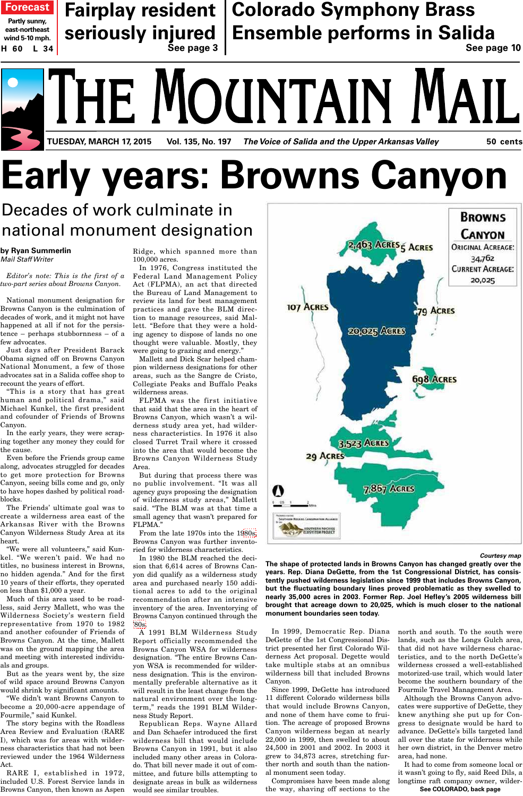# ATHE MOUNTAIN **TUESDAY, MARCH 17, 2015 Vol. 135, No. 197 The Voice of Salida and the Upper Arkansas Valley 50 cents**

# **Early years: Browns Canyon**

## Decades of work culminate in national monument designation

**by Ryan Summerlin** Mail Staff Writer

*Editor's note: This is the first of a two-part series about Browns Canyon.* 

National monument designation for Browns Canyon is the culmination of decades of work, and it might not have happened at all if not for the persistence – perhaps stubbornness – of a few advocates.

Just days after President Barack Obama signed off on Browns Canyon National Monument, a few of those advocates sat in a Salida coffee shop to recount the years of effort.

"This is a story that has great human and political drama," said Michael Kunkel, the first president and cofounder of Friends of Browns Canyon.

In the early years, they were scraping together any money they could for the cause.

Even before the Friends group came along, advocates struggled for decades to get more protection for Browns Canyon, seeing bills come and go, only to have hopes dashed by political roadblocks.

The Friends' ultimate goal was to create a wilderness area east of the Arkansas River with the Browns Canyon Wilderness Study Area at its heart.

"We were all volunteers," said Kunkel. "We weren't paid. We had no titles, no business interest in Browns, no hidden agenda." And for the first 10 years of their efforts, they operated on less than \$1,000 a year.

Much of this area used to be roadless, said Jerry Mallett, who was the Wilderness Society's western field representative from 1970 to 1982 and another cofounder of Friends of Browns Canyon. At the time, Mallett was on the ground mapping the area and meeting with interested individuals and groups.

But as the years went by, the size of wild space around Browns Canyon would shrink by significant amounts.

"We didn't want Browns Canyon to become a 20,000-acre appendage of Fourmile," said Kunkel.

The story begins with the Roadless Area Review and Evaluation (RARE I), which was for areas with wilderness characteristics that had not been reviewed under the 1964 Wilderness Act.

RARE I, established in 1972, included U.S. Forest Service lands in Browns Canyon, then known as Aspen

Ridge, which spanned more than 100,000 acres.

In 1976, Congress instituted the Federal Land Management Policy Act (FLPMA), an act that directed the Bureau of Land Management to review its land for best management practices and gave the BLM direction to manage resources, said Mallett. "Before that they were a holding agency to dispose of lands no one thought were valuable. Mostly, they were going to grazing and energy."

Mallett and Dick Scar helped champion wilderness designations for other areas, such as the Sangre de Cristo, Collegiate Peaks and Buffalo Peaks wilderness areas.

FLPMA was the first initiative that said that the area in the heart of Browns Canyon, which wasn't a wilderness study area yet, had wilderness characteristics. In 1976 it also closed Turret Trail where it crossed into the area that would become the Browns Canyon Wilderness Study Area.

But during that process there was no public involvement. "It was all agency guys proposing the designation of wilderness study areas," Mallett said. "The BLM was at that time a small agency that wasn't prepared for FLPMA."

From the late 1970s into the 1[980s,](http://themountainmail.com/tncms/eeditionjump/?page=80S&uuid=0f0e7350-f8a2-5372-a10f-d5ae1627a1a6) Browns Canyon was further inventoried for wilderness characteristics.

In 1980 the BLM reached the decision that 6,614 acres of Browns Canyon did qualify as a wilderness study area and purchased nearly 150 additional acres to add to the original recommendation after an intensive inventory of the area. Inventorying of Browns Canyon continued through the ['80s.](http://themountainmail.com/tncms/eeditionjump/?page=80S&uuid=0f0e7350-f8a2-5372-a10f-d5ae1627a1a6)

A 1991 BLM Wilderness Study Report officially recommended the Browns Canyon WSA for wilderness designation. "The entire Browns Canyon WSA is recommended for wilderness designation. This is the environmentally preferable alternative as it will result in the least change from the natural environment over the longterm," reads the 1991 BLM Wilderness Study Report.

Republican Reps. Wayne Allard and Dan Schaefer introduced the first wilderness bill that would include Browns Canyon in 1991, but it also included many other areas in Colorado. That bill never made it out of committee, and future bills attempting to designate areas in bulk as wilderness would see similar troubles.



**Courtesy map**

**The shape of protected lands in Browns Canyon has changed greatly over the years. Rep. Diana DeGette, from the 1st Congressional District, has consistently pushed wilderness legislation since 1999 that includes Browns Canyon, but the fluctuating boundary lines proved problematic as they swelled to nearly 35,000 acres in 2003. Former Rep. Joel Hefley's 2005 wilderness bill brought that acreage down to 20,025, which is much closer to the national monument boundaries seen today.**

In 1999, Democratic Rep. Diana DeGette of the 1st Congressional District presented her first Colorado Wilderness Act proposal. Degette would take multiple stabs at an omnibus wilderness bill that included Browns Canyon.

Since 1999, DeGette has introduced 11 different Colorado wilderness bills that would include Browns Canyon, and none of them have come to fruition. The acreage of proposed Browns Canyon wilderness began at nearly 22,000 in 1999, then swelled to about 24,500 in 2001 and 2002. In 2003 it grew to 34,873 acres, stretching further north and south than the national monument seen today.

Compromises have been made along the way, shaving off sections to the north and south. To the south were lands, such as the Longs Gulch area, that did not have wilderness characteristics, and to the north DeGette's wilderness crossed a well-established motorized-use trail, which would later become the southern boundary of the Fourmile Travel Management Area.

Although the Browns Canyon advocates were supportive of DeGette, they knew anything she put up for Congress to designate would be hard to advance. DeGette's bills targeted land all over the state for wilderness while her own district, in the Denver metro area, had none.

It had to come from someone local or it wasn't going to fly, said Reed Dils, a longtime raft company owner, wilder-**See COLORADO, back page**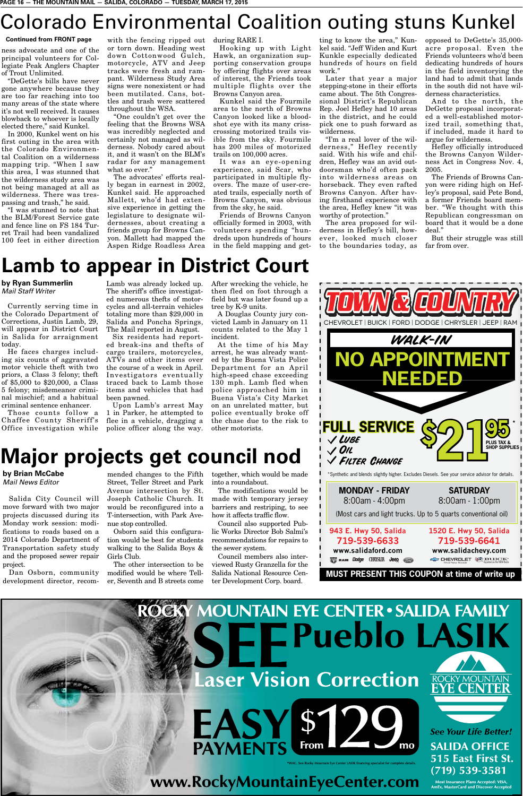## Colorado Environmental Coalition outing stuns Kunkel

#### **Continued from FRONT page**

ness advocate and one of the principal volunteers for Collegiate Peak Anglers Chapter of Trout Unlimited.

"DeGette's bills have never gone anywhere because they are too far reaching into too many areas of the state where it's not well received. It causes blowback to whoever is locally elected there," said Kunkel.

In 2000, Kunkel went on his first outing in the area with the Colorado Environmental Coalition on a wilderness mapping trip. "When I saw this area, I was stunned that the wilderness study area was not being managed at all as wilderness. There was trespassing and trash," he said.

"I was stunned to note that the BLM/Forest Service gate and fence line on FS 184 Turret Trail had been vandalized 100 feet in either direction

with the fencing ripped out or torn down. Heading west down Cottonwood Gulch, motorcycle, ATV and Jeep tracks were fresh and rampant. Wilderness Study Area signs were nonexistent or had been mutilated. Cans, bottles and trash were scattered throughout the WSA.

"One couldn't get over the feeling that the Browns WSA was incredibly neglected and certainly not managed as wilderness. Nobody cared about it, and it wasn't on the BLM's radar for any management what so ever."

The advocates' efforts really began in earnest in 2002, Kunkel said. He approached Mallett, who'd had extensive experience in getting the legislature to designate wildernesses, about creating a friends group for Browns Canyon. Mallett had mapped the Aspen Ridge Roadless Area

#### during RARE I.

Hooking up with Light Hawk, an organization supporting conservation groups by offering flights over areas of interest, the Friends took multiple flights over the Browns Canyon area.

Kunkel said the Fourmile area to the north of Browns Canyon looked like a bloodshot eye with its many crisscrossing motorized trails visible from the sky. Fourmile has 200 miles of motorized trails on 100,000 acres.

It was an eye-opening experience, said Scar, who participated in multiple flyovers. The maze of user-created trails, especially north of Browns Canyon, was obvious from the sky, he said.

Friends of Browns Canyon officially formed in 2003, with volunteers spending "hundreds upon hundreds of hours in the field mapping and get-

ting to know the area," Kunkel said. "Jeff Widen and Kurt Kunkle especially dedicated hundreds of hours on field work"

Later that year a major stepping-stone in their efforts came about. The 5th Congressional District's Republican Rep. Joel Hefley had 10 areas in the district, and he could pick one to push forward as wilderness.

"I'm a real lover of the wilderness," Hefley recently said. With his wife and children, Hefley was an avid outdoorsman who'd often pack into wilderness areas on horseback. They even rafted Browns Canyon. After having firsthand experience with the area, Hefley knew "it was worthy of protection."

The area proposed for wilderness in Hefley's bill, however, looked much closer to the boundaries today, as

opposed to DeGette's 35,000 acre proposal. Even the Friends volunteers who'd been dedicating hundreds of hours in the field inventorying the land had to admit that lands in the south did not have wilderness characteristics.

And to the north, the DeGette proposal incorporated a well-established motorized trail, something that, if included, made it hard to argue for wilderness.

Hefley officially introduced the Browns Canyon Wilderness Act in Congress Nov. 4, 2005.

The Friends of Browns Canyon were riding high on Hefley's proposal, said Pete Bond, a former Friends board member. "We thought with this Republican congressman on board that it would be a done deal."

But their struggle was still far from over.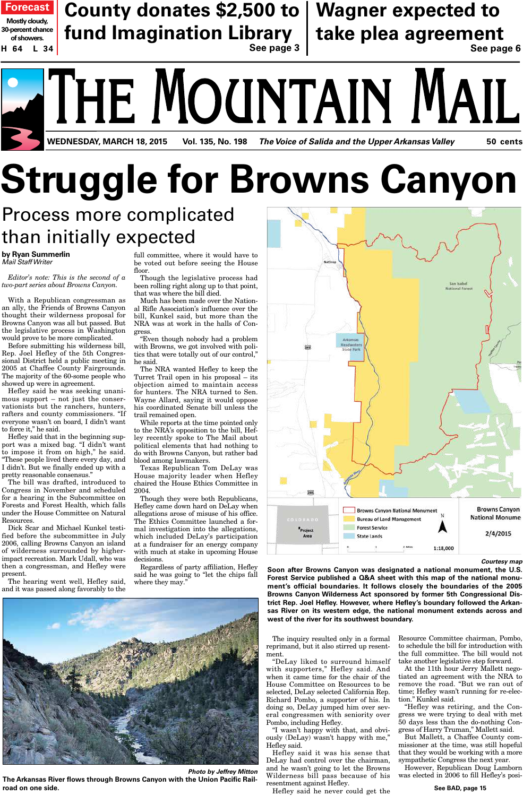

# **Struggle for Browns Canyon**

## Process more complicated than initially expected

**by Ryan Summerlin** Mail Staff Writer

*Editor's note: This is the second of a two-part series about Browns Canyon.*

With a Republican congressman as an ally, the Friends of Browns Canyon thought their wilderness proposal for Browns Canyon was all but passed. But the legislative process in Washington would prove to be more complicated.

Before submitting his wilderness bill, Rep. Joel Hefley of the 5th Congressional District held a public meeting in 2005 at Chaffee County Fairgrounds. The majority of the 60-some people who showed up were in agreement.

Hefley said he was seeking unanimous support – not just the conservationists but the ranchers, hunters, rafters and county commissioners. "If everyone wasn't on board, I didn't want to force it," he said.

Hefley said that in the beginning support was a mixed bag. "I didn't want to impose it from on high," he said. "These people lived there every day, and I didn't. But we finally ended up with a pretty reasonable consensus."

The bill was drafted, introduced to Congress in November and scheduled for a hearing in the Subcommittee on Forests and Forest Health, which falls under the House Committee on Natural Resources.

Dick Scar and Michael Kunkel testified before the subcommittee in July 2006, calling Browns Canyon an island of wilderness surrounded by higherimpact recreation. Mark Udall, who was then a congressman, and Hefley were present.

The hearing went well, Hefley said, and it was passed along favorably to the

full committee, where it would have to be voted out before seeing the House floor.

Though the legislative process had been rolling right along up to that point, that was where the bill died.

Much has been made over the National Rifle Association's influence over the bill, Kunkel said, but more than the NRA was at work in the halls of Congress.

"Even though nobody had a problem with Browns, we got involved with politics that were totally out of our control," he said.

The NRA wanted Hefley to keep the Turret Trail open in his proposal – its objection aimed to maintain access for hunters. The NRA turned to Sen. Wayne Allard, saying it would oppose his coordinated Senate bill unless the trail remained open.

While reports at the time pointed only to the NRA's opposition to the bill, Hefley recently spoke to The Mail about political elements that had nothing to do with Browns Canyon, but rather bad blood among lawmakers.

Texas Republican Tom DeLay was House majority leader when Hefley chaired the House Ethics Committee in 2004.

Though they were both Republicans, Hefley came down hard on DeLay when allegations arose of misuse of his office. The Ethics Committee launched a formal investigation into the allegations, which included DeLay's participation at a fundraiser for an energy company with much at stake in upcoming House decisions.

Regardless of party affiliation, Hefley said he was going to "let the chips fall where they may."



**road on one side.** See BAD, page 15 **Photo by Jeffrey Mitton The Arkansas River flows through Browns Canyon with the Union Pacific Rail-**



**Courtesy map**

**Soon after Browns Canyon was designated a national monument, the U.S. Forest Service published a Q&A sheet with this map of the national monument's official boundaries. It follows closely the boundaries of the 2005 Browns Canyon Wilderness Act sponsored by former 5th Congressional District Rep. Joel Hefley. However, where Hefley's boundary followed the Arkansas River on its western edge, the national monument extends across and west of the river for its southwest boundary.**

The inquiry resulted only in a formal reprimand, but it also stirred up resentment.

"DeLay liked to surround himself with supporters," Hefley said. And when it came time for the chair of the House Committee on Resources to be selected, DeLay selected California Rep. Richard Pombo, a supporter of his. In doing so, DeLay jumped him over several congressmen with seniority over Pombo, including Hefley.

"I wasn't happy with that, and obviously (DeLay) wasn't happy with me," Hefley said.

Hefley said it was his sense that DeLay had control over the chairman, and he wasn't going to let the Browns Wilderness bill pass because of his resentment against Hefley.

Resource Committee chairman, Pombo, to schedule the bill for introduction with the full committee. The bill would not take another legislative step forward.

At the 11th hour Jerry Mallett negotiated an agreement with the NRA to remove the road. "But we ran out of time; Hefley wasn't running for re-election." Kunkel said.

"Hefley was retiring, and the Congress we were trying to deal with met 50 days less than the do-nothing Congress of Harry Truman," Mallett said.

But Mallett, a Chaffee County commissioner at the time, was still hopeful that they would be working with a more sympathetic Congress the next year.

However, Republican Doug Lamborn was elected in 2006 to fill Hefley's posi-